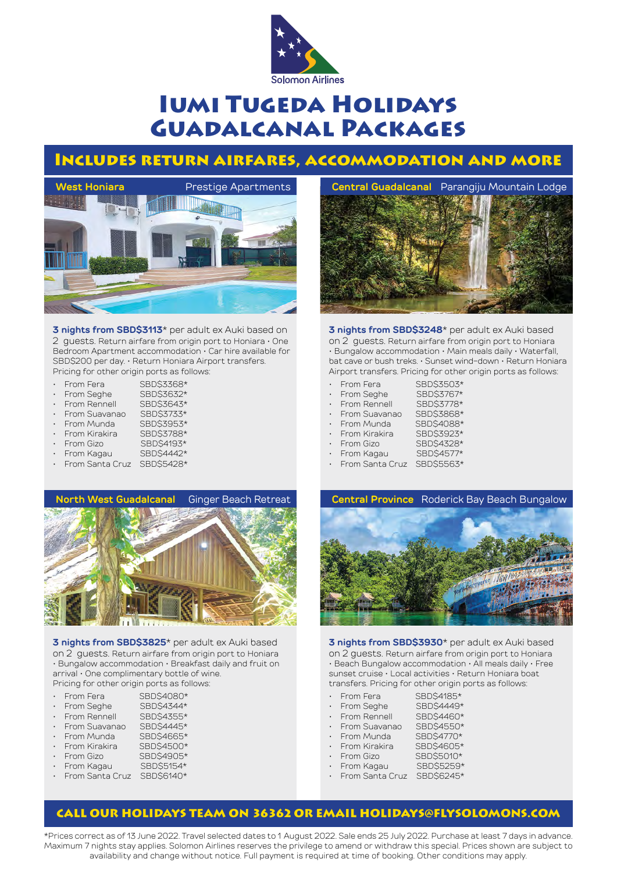

# Iumi Tugeda Holidays Guadalcanal Packages

### Includes return airfares, accommodation and more



**3 nights from SBD\$3113**\* per adult ex Auki based on 2 guests. Return airfare from origin port to Honiara • One Bedroom Apartment accommodation • Car hire available for SBD\$200 per day. • Return Honiara Airport transfers. Pricing for other origin ports as follows:

- From Fera SBD\$3368\* From Seghe SBD\$3632\*<br>From Rennell SBD\$3643\* From Rennell SBD\$3643\*<br>From Suavanao SBD\$3733\* • From Suavanao SBD\$3733\* From Munda<br>From Kirakira SBD\$3788\* From Kirakira<br>From Gizo
- 
- From Gizo SBD\$4193\*<br>From Kagau SBD\$4442\* SBD\$4442\*
- From Santa Cruz SBD\$5428\*



**3 nights from SBD\$3248**\* per adult ex Auki based on 2 guests. Return airfare from origin port to Honiara • Bungalow accommodation • Main meals daily • Waterfall, bat cave or bush treks. • Sunset wind-down • Return Honiara Airport transfers. Pricing for other origin ports as follows:

| $\ddot{\phantom{0}}$ | From Fera     | SBD\$3503*                                                                                                                                                                                                                                                                                                                                                                                                                   |
|----------------------|---------------|------------------------------------------------------------------------------------------------------------------------------------------------------------------------------------------------------------------------------------------------------------------------------------------------------------------------------------------------------------------------------------------------------------------------------|
| $\ddot{\phantom{0}}$ | From Seghe    | SBD\$3767*                                                                                                                                                                                                                                                                                                                                                                                                                   |
| $\ddot{\phantom{0}}$ | From Rennell  | SBD\$3778*                                                                                                                                                                                                                                                                                                                                                                                                                   |
| $\ddot{\phantom{0}}$ | From Suavanao | SBD\$3868*                                                                                                                                                                                                                                                                                                                                                                                                                   |
| $\ddot{\phantom{0}}$ | From Munda    | SBD\$4088*                                                                                                                                                                                                                                                                                                                                                                                                                   |
|                      |               | $\mathbf{a} = \mathbf{a} + \mathbf{a} + \mathbf{a} + \mathbf{a} + \mathbf{a} + \mathbf{a} + \mathbf{a} + \mathbf{a} + \mathbf{a} + \mathbf{a} + \mathbf{a} + \mathbf{a} + \mathbf{a} + \mathbf{a} + \mathbf{a} + \mathbf{a} + \mathbf{a} + \mathbf{a} + \mathbf{a} + \mathbf{a} + \mathbf{a} + \mathbf{a} + \mathbf{a} + \mathbf{a} + \mathbf{a} + \mathbf{a} + \mathbf{a} + \mathbf{a} + \mathbf{a} + \mathbf{a} + \mathbf$ |

- From Kirakira SBD\$3923\*
	-
- From Gizo SBD\$4328\*<br>From Kagau SBD\$4577\*
- From Kagau • From Santa Cruz SBD\$5563\*



**3 nights from SBD\$3825**\* per adult ex Auki based on 2 guests. Return airfare from origin port to Honiara • Bungalow accommodation • Breakfast daily and fruit on arrival • One complimentary bottle of wine. Pricing for other origin ports as follows:

- From Fera SBD\$4080\*
- From Seghe SBD\$4344\*<br>From Rennell SBD\$4355\*
- From Rennell
- From Suavanao SBD\$4445\*<br>From Munda SBD\$4665\*
- From Munda SBD\$4665\*<br>From Kirakira SBD\$4500\*
- From Kirakira<br>From Gizo SBD\$4905\*<br>
SBD\$5154\*
- 
- From Kagau
- From Santa Cruz SBD\$6140\*



**3 nights from SBD\$3930**\* per adult ex Auki based on 2 guests. Return airfare from origin port to Honiara • Beach Bungalow accommodation • All meals daily • Free sunset cruise • Local activities • Return Honiara boat transfers. Pricing for other origin ports as follows:

SBD\$4460\*

- From Fera SBD\$4185\*
- From Seghe SBD\$4449\*<br>From Rennell SBD\$4460\*
- - From Suavanao SBD\$4550\*<br>From Munda SBD\$4770\*
		-
	- From Munda SBD\$4770\*<br>From Kirakira SBD\$4605\*
- From Kirakira<br>From Gizo
	- \$BD\$5010\*<br>\$BD\$5259\*
- From Kagau
	- From Santa Cruz SBD\$6245\*

### CALL OUR HOLIDAYS TEAM ON 36362 OR EMAIL HOLIDAYS@FLYSOLOMONS.COM

\*Prices correct as of 13 June 2022. Travel selected dates to 1 August 2022. Sale ends 25 July 2022. Purchase at least 7 days in advance. Maximum 7 nights stay applies. Solomon Airlines reserves the privilege to amend or withdraw this special. Prices shown are subject to availability and change without notice. Full payment is required at time of booking. Other conditions may apply.